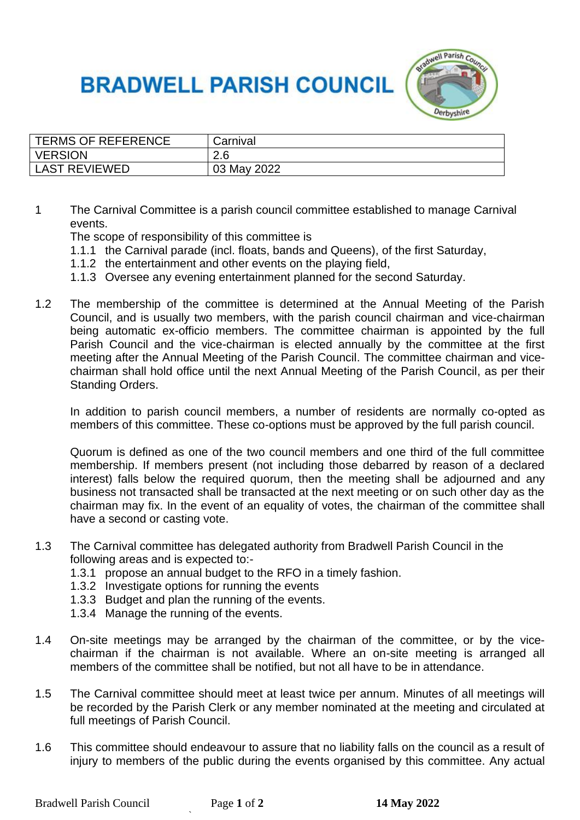## **BRADWELL PARISH COUNCIL**



| TERMS OF REFERENCE   | Carnival    |
|----------------------|-------------|
| <b>VERSION</b>       | 2.6         |
| <b>LAST REVIEWED</b> | 03 May 2022 |

1 The Carnival Committee is a parish council committee established to manage Carnival events.

The scope of responsibility of this committee is

- 1.1.1 the Carnival parade (incl. floats, bands and Queens), of the first Saturday,
- 1.1.2 the entertainment and other events on the playing field,
- 1.1.3 Oversee any evening entertainment planned for the second Saturday.
- 1.2 The membership of the committee is determined at the Annual Meeting of the Parish Council, and is usually two members, with the parish council chairman and vice-chairman being automatic ex-officio members. The committee chairman is appointed by the full Parish Council and the vice-chairman is elected annually by the committee at the first meeting after the Annual Meeting of the Parish Council. The committee chairman and vicechairman shall hold office until the next Annual Meeting of the Parish Council, as per their Standing Orders.

In addition to parish council members, a number of residents are normally co-opted as members of this committee. These co-options must be approved by the full parish council.

Quorum is defined as one of the two council members and one third of the full committee membership. If members present (not including those debarred by reason of a declared interest) falls below the required quorum, then the meeting shall be adjourned and any business not transacted shall be transacted at the next meeting or on such other day as the chairman may fix. In the event of an equality of votes, the chairman of the committee shall have a second or casting vote.

- 1.3 The Carnival committee has delegated authority from Bradwell Parish Council in the following areas and is expected to:-
	- 1.3.1 propose an annual budget to the RFO in a timely fashion.
	- 1.3.2 Investigate options for running the events
	- 1.3.3 Budget and plan the running of the events.
	- 1.3.4 Manage the running of the events.
- 1.4 On-site meetings may be arranged by the chairman of the committee, or by the vicechairman if the chairman is not available. Where an on-site meeting is arranged all members of the committee shall be notified, but not all have to be in attendance.
- 1.5 The Carnival committee should meet at least twice per annum. Minutes of all meetings will be recorded by the Parish Clerk or any member nominated at the meeting and circulated at full meetings of Parish Council.
- 1.6 This committee should endeavour to assure that no liability falls on the council as a result of injury to members of the public during the events organised by this committee. Any actual

`